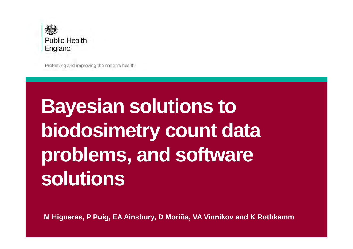

Protecting and improving the nation's health

# **Bayesian solutions to biodosimetry count data problems, and software solutions**

**M Higueras, P Puig, EA Ainsbury, D Moriña, VA Vinnikov and K Rothkamm**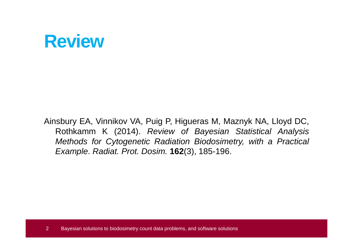#### **Review**

Ainsbury EA, Vinnikov VA, Puig P, Higueras M, Maznyk NA, Lloyd DC, Rothkamm K (2014). Review of Bayesian Statistical Analysis Methods for Cytogenetic Radiation Biodosimetry, with <sup>a</sup> Practical Example. Radiat. Prot. Dosim. **162**(3), 185-196.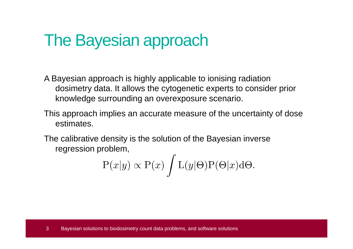#### The Bayesian approach

- A Bayesian approach is highly applicable to ionising radiation dosimetry data. It allows the cytogenetic experts to consider prior knowledge surrounding an overexposure scenario.
- This approach implies an accurate measure of the uncertainty of dose estimates.
- The calibrative density is the solution of the Bayesian inverse regression problem,

$$
P(x|y) \propto P(x) \int L(y|\Theta) P(\Theta|x) d\Theta.
$$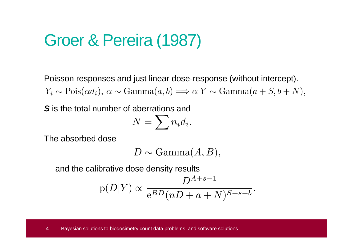#### Groer & Pereira (1987)

Poisson responses and just linear dose-response (without intercept). $Y_i \sim \text{Pois}(\alpha d_i), \ \alpha \sim \text{Gamma}(a, b) \Longrightarrow \alpha | Y \sim \text{Gamma}(a + S, b + N),$ 

**S** is the total number of aberrations and

$$
N=\sum n_i d_i.
$$

The absorbed dose

 $D \sim \text{Gamma}(A, B),$ 

and the calibrative dose density results

$$
p(D|Y) \propto \frac{D^{A+s-1}}{e^{BD}(nD+a+N)^{S+s+b}}.
$$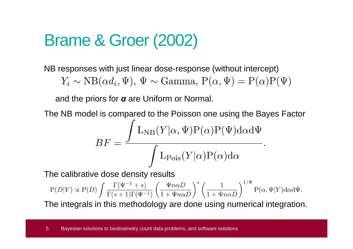#### Brame & Groer (2002)

NB responses with just linear dose-response (without intercept)

 $Y_i \sim NB(\alpha d_i, \Psi)$ ,  $\Psi \sim \text{Gamma}, P(\alpha, \Psi) = P(\alpha)P(\Psi)$ 

and the priors for *α* are Uniform or Normal.

The NB model is compared to the Poisson one using the Bayes Factor

$$
BF = \frac{\int L_{NB}(Y|\alpha, \Psi) P(\alpha) P(\Psi) d\alpha d\Psi}{\int L_{Pois}(Y|\alpha) P(\alpha) d\alpha}.
$$

The calibrative dose density results

$$
\mathbf{P}(D|Y) \propto \mathbf{P}(D) \int \frac{\Gamma(\Psi^{-1} + s)}{\Gamma(s+1)\Gamma(\Psi^{-1})} \left(\frac{\Psi n \alpha D}{1 + \Psi n \alpha D}\right)^s \left(\frac{1}{1 + \Psi n \alpha D}\right)^{1/\Psi} \mathbf{P}(\alpha, \Psi|Y) \mathrm{d} \alpha \mathrm{d} \Psi.
$$

The integrals in this methodology are done using numerical integration.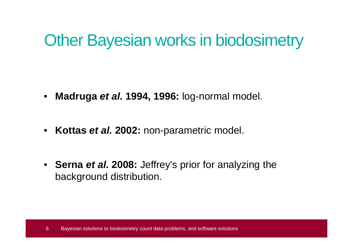#### Other Bayesian works in biodosimetry

- $\bullet$ **Madruga et al. 1994, 1996:** log-normal model.
- $\bullet$ **Kottas et al. 2002:** non-parametric model.
- **Serna et al. 2008:** Jeffrey's prior for analyzing the background distribution.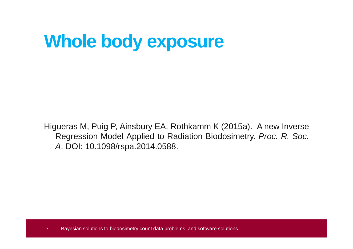# **Whole body exposure**

Higueras M, Puig P, Ainsbury EA, Rothkamm K (2015a). <sup>A</sup> new Inverse Regression Model Applied to Radiation Biodosimetry. Proc. R. Soc. A, DOI: 10.1098/rspa.2014.0588.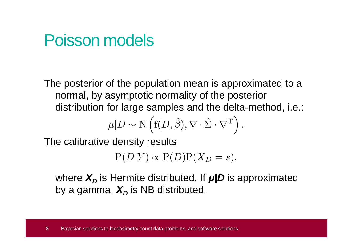#### Poisson models

The posterior of the population mean is approximated to a normal, by asymptotic normality of the posterior distribution for large samples and the delta-method, i.e.:

$$
\mu|D \sim \mathcal{N}\left(\mathbf{f}(D,\hat{\beta}), \nabla \cdot \hat{\Sigma} \cdot \nabla^{\mathrm{T}}\right).
$$

The calibrative density results

 $P(D|Y) \propto P(D)P(X_D = s),$ 

where  $X_D$  is Hermite distributed. If  $\mu/D$  is approximated by a gamma,  $X_D$  is NB distributed.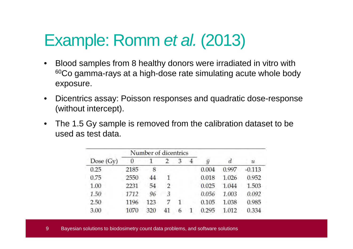# Example: Romm *et al.* (2013)

- • Blood samples from 8 healthy donors were irradiated in vitro with 60Co gamma-rays at a high-dose rate simulating acute whole body exposure.
- $\bullet$  Dicentrics assay: Poisson responses and quadratic dose-response (without intercept).
- • The 1.5 Gy sample is removed from the calibration dataset to be used as test data.

|             |      | Number of dicentrics |                |   |   |                |       |                  |  |
|-------------|------|----------------------|----------------|---|---|----------------|-------|------------------|--|
| Dose $(Gy)$ | 0    |                      |                | 3 | 4 | $\overline{y}$ | d     | $\boldsymbol{u}$ |  |
| 0.25        | 2185 | 8                    |                |   |   | 0.004          | 0.997 | $-0.113$         |  |
| 0.75        | 2550 | 44                   |                |   |   | 0.018          | 1.026 | 0.952            |  |
| 1.00        | 2231 | 54                   | $\mathfrak{D}$ |   |   | 0.025          | 1.044 | 1.503            |  |
| 1.50        | 1712 | 96                   | 3              |   |   | 0.056          | 1.003 | 0.092            |  |
| 2.50        | 1196 | 123                  |                |   |   | 0.105          | 1.038 | 0.985            |  |
| 3.00        | 1070 | 320                  | 41             |   |   | 0.295          | 1.012 | 0.334            |  |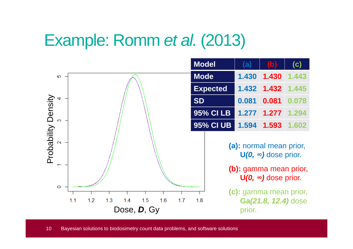# Example: Romm *et al.* (2013)<br>————————————————————

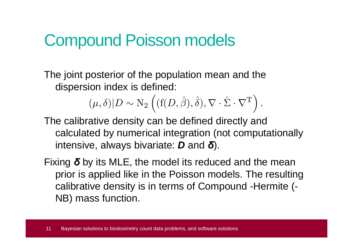#### Compound Poisson models

The joint posterior of the population mean and the dispersion index is defined:

 $(\mu, \delta)|D \sim N_2 \left( (f(D, \hat{\beta}), \hat{\delta}), \nabla \cdot \hat{\Sigma} \cdot \nabla^{T} \right).$ 

The calibrative density can be defined directly and calculated by numerical integration (not computationally intensive, always bivariate: **D** and *δ*).

Fixing *δ* by its MLE, the model its reduced and the mean prior is applied like in the Poisson models. The resulting calibrative density is in terms of Compound -Hermite (-NB) mass function.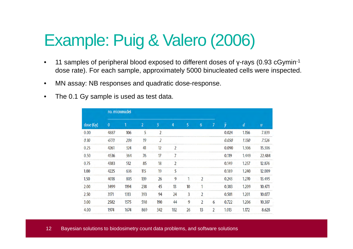#### Example: Puig & Valero (2006)

- $\bullet$  11 samples of peripheral blood exposed to different doses of γ-rays (0.93 cGymin-1 dose rate). For each sample, approximately 5000 binucleated cells were inspected.
- •MN assay: NB responses and quadratic dose-response.
- $\bullet$ The 0.1 Gy sample is used as test data.

| dose (Gy)<br>$\bf{0}$ |      | no. micronuclei |                |                |     |    |                |                |          |       |        |
|-----------------------|------|-----------------|----------------|----------------|-----|----|----------------|----------------|----------|-------|--------|
|                       |      |                 | $\overline{2}$ | 3              | 4   | 5. | 6              | 7              | <b>V</b> | d     | U      |
| 0.00                  | 4887 | 106             | 5              | $\overline{2}$ |     |    |                |                | 0.024    | 1.156 | 7.839  |
| 0.10                  | 4773 | 206             | 19             | 2              |     |    |                |                | 0.050    | 1.150 | 7.526  |
| 0.25                  | 4261 | 324             | 41             | 12             | 7   |    |                |                | 0.090    | 1.306 | 15.306 |
| 0.50                  | 4536 | 364             | 76             | 17             |     |    |                |                | 0.119    | 1.449 | 22.484 |
| 0.75                  | 4383 | 512             | 85             | 18             |     |    |                |                | 0.149    | 1.257 | 12.876 |
| 1.00                  | 4225 | 636             | 115            | 19             | 5   |    |                |                | 0.189    | 1.240 | 12.009 |
| 1.50                  | 4018 | 805             | 139            | 26             | 9   | п. | $\overline{2}$ |                | 0.243    | 1.270 | 13.495 |
| 2.00                  | 3499 | 1194            | 238            | 45             | 13  | 10 |                |                | 0.383    | 1.209 | 10.471 |
| 2.50                  | 3171 | 1313            | 393            | 94             | 24  | 3  | $\mathcal{P}$  |                | 0.501    | 1.201 | 10.077 |
| 3.00                  | 2582 | 1575            | 598            | 190            | 44  | 9  | $\mathcal{P}$  | 6              | 0.722    | 1.206 | 10.307 |
| 4.00                  | 1974 | 1674            | 869            | 342            | 102 | 26 | 13             | $\overline{2}$ | 1.013    | 1.172 | 8.628  |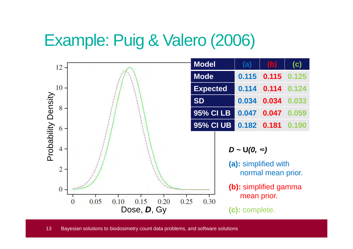#### Example: Puig & Valero (2006)

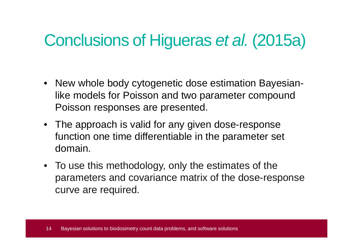# Conclusions of Higueras et al. (2015a)

- New whole body cytogenetic dose estimation Bayesianlike models for Poisson and two parameter compound Poisson responses are presented.
- The approach is valid for any given dose-response function one time differentiable in the parameter set domain.
- To use this methodology, only the estimates of the parameters and covariance matrix of the dose-response curve are required.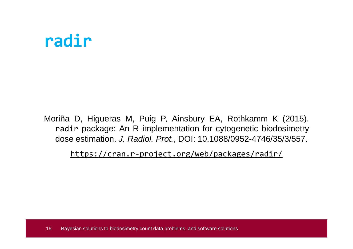#### **radir**

Moriña D, Higueras M, Puig P, Ainsbury EA, Rothkamm K (2015). radir package: An <sup>R</sup> implementation for cytogenetic biodosimetry dose estimation. J. Radiol. Prot., DOI: 10.1088/0952-4746/35/3/557.

https://cran.r-project.org/web/packages/radir/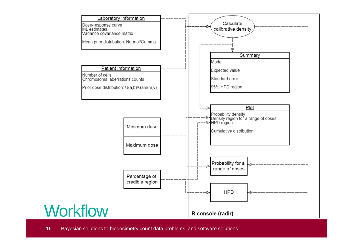

16 Bayesian solutions to biodosimetry count data problems, and software solutions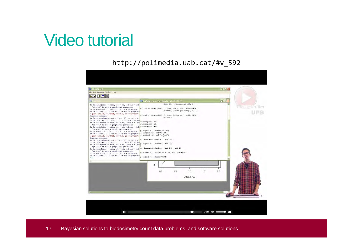#### Video tutorial

#### http://polimedia.uab.cat/#v\_592

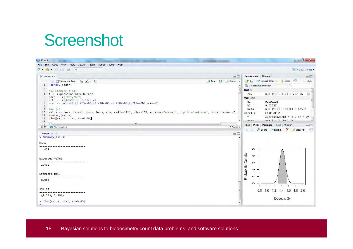#### **Screenshot**

| RStudio                                                                               | <b>PERSONAL PROPERTY</b>                                                                                            | $= 0 $                                                      |
|---------------------------------------------------------------------------------------|---------------------------------------------------------------------------------------------------------------------|-------------------------------------------------------------|
| File Edit Code View Plots Session Build Debug Tools Help                              |                                                                                                                     |                                                             |
| 9 <del>안</del> E 리 온 M So The annual                                                  |                                                                                                                     | A Project (None) -                                          |
| $@$ ] proves.R $\times$                                                               | $\blacksquare$                                                                                                      | <b>Environment</b> History<br>$-\Box$                       |
| Source on Save Q / -                                                                  | Run be Source                                                                                                       | Tel ent Import Dataset Clear<br>$\equiv$ List               |
| library(radir)<br>1                                                                   |                                                                                                                     | Q<br>Global Environment                                     |
| $\overline{2}$<br>$###$ Example 3 (a)<br>3                                            | E                                                                                                                   | Data                                                        |
| $f \leftarrow$ expression(b1*x+b2*x^2)<br>4                                           |                                                                                                                     | num [1:2, 1:2] 7.20e-06 -<br>cov                            |
| pars <- $c("b1", "b2")$<br>5<br>beta <- $c(3.126e-3, 2.537e-2)$<br>6                  |                                                                                                                     | values                                                      |
| $cov <$ matrix(c(7,205e-06,-3,438e-06,-3,438e-06,2,718e-06), nrow=2)                  |                                                                                                                     | b1<br>0.003126                                              |
| 8                                                                                     |                                                                                                                     | b2<br>0.02537                                               |
| 9<br>### (a)<br>10                                                                    | ex1.a <- dose.distr(f, pars, beta, cov, cells=1811, dics=102, m.prior="normal", d.prior="uniform", prior.param=c(0, | num [1:2] 0.00313 0.02537<br>beta<br>List of 2<br>$Q$ ex1.a |
| summary(ex1.a)<br>11                                                                  |                                                                                                                     | f<br>expression(b1 * $x + b2$ * $x \wedge$                  |
| $plot(ex1.a, ci=T, cr=0.90)$<br>12<br>13                                              |                                                                                                                     | $-$ be $11.21$ "ki" "ka"<br>0.500                           |
| ٠<br>14                                                                               | m                                                                                                                   | Files Plots<br>Packages Help Viewer<br>$-\Box$              |
| 图 (Top Level) ÷<br>12:27                                                              | R Script =                                                                                                          | G<br>Zoom <b>A</b> Export C Clear All                       |
| Console $-1$                                                                          | $\Box$                                                                                                              |                                                             |
| $>$ summary(ex1.a)                                                                    |                                                                                                                     |                                                             |
| Mode                                                                                  |                                                                                                                     |                                                             |
|                                                                                       |                                                                                                                     |                                                             |
| 1.429                                                                                 |                                                                                                                     | 40                                                          |
|                                                                                       |                                                                                                                     | 4                                                           |
| Expected value                                                                        |                                                                                                                     | Density                                                     |
| --------------<br>1.432                                                               |                                                                                                                     | $\infty$                                                    |
|                                                                                       |                                                                                                                     | $\mathbf{N}$                                                |
| Standard Dev.                                                                         |                                                                                                                     |                                                             |
|                                                                                       |                                                                                                                     | Probability<br>$\tau$                                       |
| 0.081                                                                                 |                                                                                                                     | $\circ$                                                     |
|                                                                                       |                                                                                                                     |                                                             |
| 95% CI<br>the first first first first first first first first first first first first |                                                                                                                     | 0.8 1.0 1.2 1.4 1.6 1.8 2.0                                 |
| (1.275; 1.591)                                                                        |                                                                                                                     |                                                             |
| > $plot(ex1.a, ci=T, cr=0.90)$                                                        |                                                                                                                     | Dose, x, Gy                                                 |
|                                                                                       |                                                                                                                     |                                                             |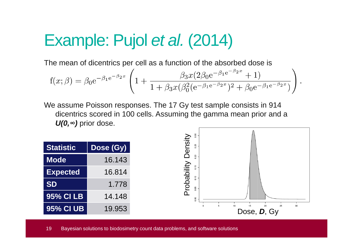### Example: Pujol et al. (2014)

The mean of dicentrics per cell as a function of the absorbed dose is

$$
f(x; \beta) = \beta_0 e^{-\beta_1 e^{-\beta_2 x}} \left( 1 + \frac{\beta_3 x (2\beta_0 e^{-\beta_1 e^{-\beta_2 x}} + 1)}{1 + \beta_3 x (\beta_0^2 (e^{-\beta_1 e^{-\beta_2 x}})^2 + \beta_0 e^{-\beta_1 e^{-\beta_2 x}})} \right).
$$

We assume Poisson responses. The 17 Gy test sample consists in 914 dicentrics scored in 100 cells. Assuming the gamma mean prior and a **U(0,***∞***)** prior dose.



19 Bayesian solutions to biodosimetry count data problems, and software solutions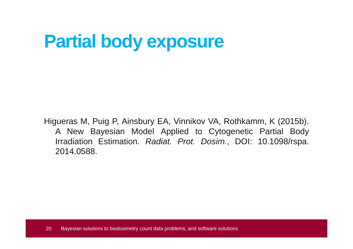# **Partial body exposure**

Higueras M, Puig P, Ainsbury EA, Vinnikov VA, Rothkamm, K (2015b). A New Bayesian Model Applied to Cytogenetic Partial BodyIrradiation Estimation. *Radiat. Prot. Dosim.*, DOI: 10.1098/rspa. 2014.0588.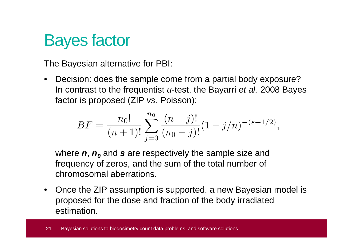

The Bayesian alternative for PBI:

• Decision: does the sample come from a partial body exposure? In contrast to the frequentist *u*-test, the Bayarri *et al.* 2008 Bayes factor is proposed (ZIP vs. Poisson):

$$
BF = \frac{n_0!}{(n+1)!} \sum_{j=0}^{n_0} \frac{(n-j)!}{(n_0-j)!} (1-j/n)^{-(s+1/2)},
$$

where **n**, **n<sup>0</sup>** and **<sup>s</sup>** are respectively the sample size and frequency of zeros, and the sum of the total number of chromosomal aberrations.

• Once the ZIP assumption is supported, a new Bayesian model is proposed for the dose and fraction of the body irradiated estimation.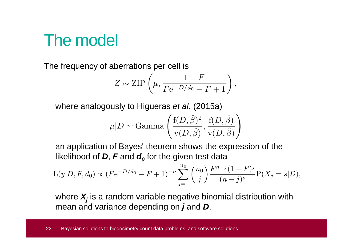#### The model

The frequency of aberrations per cell is

$$
Z \sim \text{ZIP}\left(\mu, \frac{1-F}{F e^{-D/d_0} - F + 1}\right),\,
$$

where analogously to Higueras *et al.* (2015a)

$$
u|D \sim \text{Gamma}\left(\frac{f(D,\hat{\beta})^2}{v(D,\hat{\beta})}, \frac{f(D,\hat{\beta})}{v(D,\hat{\beta})}\right)
$$

an application of Bayes' theorem shows the expression of the likelihood of **D**, **F** and **d<sup>0</sup>** for the given test data

$$
L(y|D, F, d_0) \propto (Fe^{-D/d_0} - F + 1)^{-n} \sum_{j=1}^{n_0} {n_0 \choose j} \frac{F^{n-j}(1-F)^j}{(n-j)^s} P(X_j = s|D),
$$

where **Xj** is a random variable negative binomial distribution with mean and variance depending on **j** and **D**.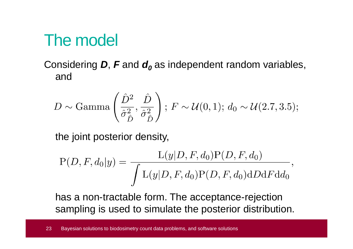#### The model

Considering **D**, **F** and **d<sup>0</sup>** as independent random variables, and

$$
D \sim \text{Gamma}\left(\frac{\hat{D}^2}{\hat{\sigma}_{\hat{D}}^2}, \frac{\hat{D}}{\hat{\sigma}_{\hat{D}}^2}\right); F \sim \mathcal{U}(0, 1); d_0 \sim \mathcal{U}(2.7, 3.5);
$$

the joint posterior density,

$$
P(D, F, d_0|y) = \frac{L(y|D, F, d_0)P(D, F, d_0)}{\int L(y|D, F, d_0)P(D, F, d_0)dD dF d d_0},
$$

has a non-tractable form. The acceptance-rejection sampling is used to simulate the posterior distribution.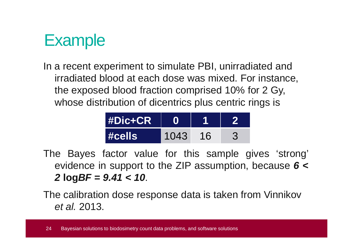#### **Example**

In a recent experiment to simulate PBI, unirradiated and irradiated blood at each dose was mixed. For instance, the exposed blood fraction comprised 10% for 2 Gy, whose distribution of dicentrics plus centric rings is

| <b>#Dic+CR</b> |      |    |  |
|----------------|------|----|--|
| #cells         | 1043 | 16 |  |

The Bayes factor value for this sample gives 'strong' evidence in support to the ZIP assumption, because **<sup>6</sup> <sup>&</sup>lt;2 logBF <sup>=</sup> 9.41 <sup>&</sup>lt; <sup>10</sup>**.

The calibration dose response data is taken from Vinnikovet al. 2013.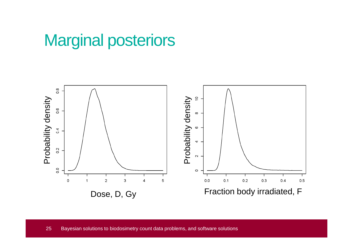#### Marginal posteriors

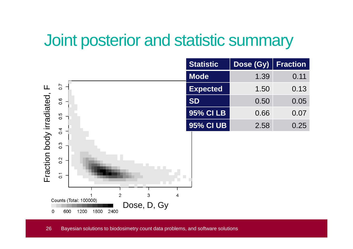#### Joint posterior and statistic summary

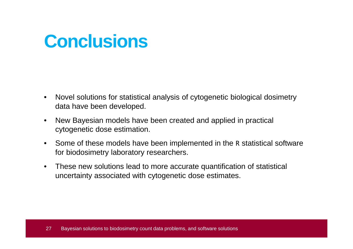### **Conclusions**

- • Novel solutions for statistical analysis of cytogenetic biological dosimetrydata have been developed.
- $\bullet$  New Bayesian models have been created and applied in practical cytogenetic dose estimation.
- $\bullet$  Some of these models have been implemented in the R statistical software for biodosimetry laboratory researchers.
- $\bullet$  These new solutions lead to more accurate quantification of statistical uncertainty associated with cytogenetic dose estimates.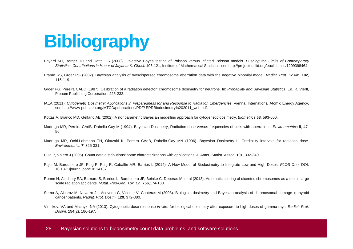# **Bibliography**

- Bayarri MJ, Berger JO and Datta GS (2008). Objective Bayes testing of Poisson versus inflated Poisson models. Pushing the Limits of Contemporary Statistics: Contributions in Honor of Jayanta K. Ghosh 105-121, Institute of Mathematical Statistics, see http://projecteuclid.org/euclid.imsc/1209398464.
- Brame RS, Groer PG (2002). Bayesian analysis of overdispersed chromosome aberration data with the negative binomial model. Radiat. Prot. Dosim. **102**, 115-119.
- Groer PG, Pereira CABD (1987). Calibration of a radiation detector: chromosome dosimetry for neutrons. In: Probability and Bayesian Statistics. Ed. R. Viertl, Plenum Publishing Corporation, 225-232.
- IAEA (2011). Cytogenetic Dosimetry: Applications in Preparedness for and Response to Radiation Emergencies. Vienna: International Atomic Energy Agency, see http://www-pub.iaea.org/MTCD/publications/PDF/ EPRBiodosimetry%202011\_web.pdf.
- Kottas A, Branco MD, Gelfand AE (2002). A nonparametric Bayesian modelling approach for cytogenetic dosimetry. Biometrics **<sup>58</sup>**, 593-600.
- Madruga MR, Pereira CAdB, Rabello-Gay M (1994). Bayesian Dosimetry, Radiation dose versus frequencies of cells with aberrations. Environmetrics **<sup>5</sup>**, 47- 56.
- Madruga MR, Ochi-Lohmann TH, Okazaki K, Pereira CAdB, Rabello-Gay MN (1996). Bayesian Dosimetry II, Credibility intervals for radiation dose. Environmetrics**7**, 325-331.
- Puig P, Valero J (2006). Count data distributions: some characterizations with applications. J. Amer. Statist. Assoc. **101**, 332-340.
- Pujol M, Barquinero JF, Puig P, Puig R, Caballín MR, Barrios L (2014). A New Model of Biodosimetry to Integrate Low and High Doses. PLOS One, DOI: 10.1371/journal.pone.0114137.
- Romm H, Ainsbury EA, Barnard S, Barrios L, Barquinero JF, Beinke C, Deperas M, et al (2013). Automatic scoring of dicentric chromosomes as <sup>a</sup> tool in largescale radiation accidents. Mutat. Res-Gen. Tox. En. **756**,174-183.
- Serna A, Alcaraz M, Navarro JL, Acevedo C, Vicente V, Canteras M (2008). Biological dosimetry and Bayesian analysis of chromosomal damage in thyroidcancer patients. Radiat. Prot. Dosim. **129**, 372-380.
- Vinnikov, VA and Maznyk, NA (2013). Cytogenetic dose-response *in vitro* for biological dosimetry after exposure to high doses of gamma-rays. Radiat. Prot. Dosim. **154**(2), 186-197.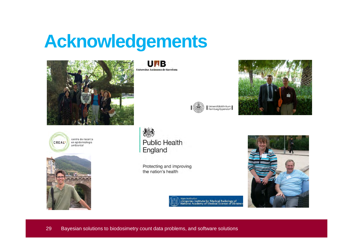# **Acknowledgements**



centre de recerca CREAL en epidemiologia ambiental



**UNB** Universitat Autonoma de Barcelona.





**Public Health** England

Protecting and improving the nation's health



State institution<br>«Grigoriev Institute for Medical Radiology of<br>National Academy of Medical Science of Ukraine»